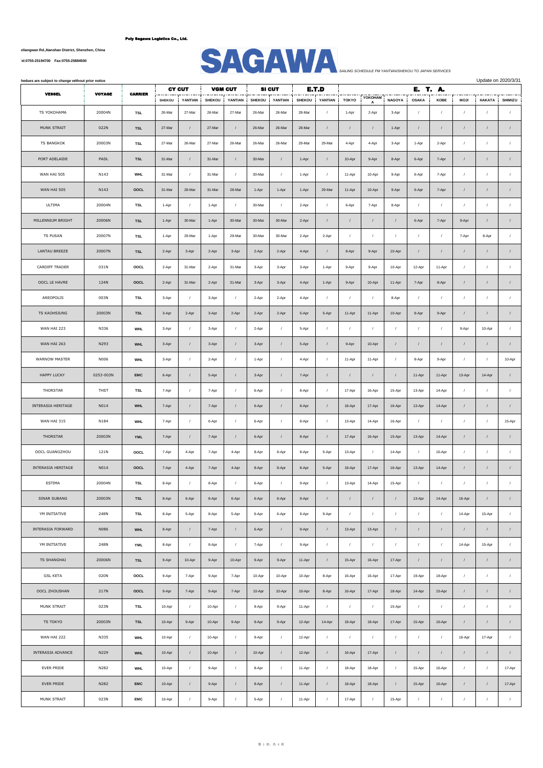**No.1007, Yueliangwan Rd.,Nanshan District, Shenzhen, China**



| hedues are subject to change without prior notice |               |                |               |                          |               |                           |               |                          |               |                  |                  | Update on 2020/3/31<br>E. T. A. |                  |                |            |                  |               |            |  |
|---------------------------------------------------|---------------|----------------|---------------|--------------------------|---------------|---------------------------|---------------|--------------------------|---------------|------------------|------------------|---------------------------------|------------------|----------------|------------|------------------|---------------|------------|--|
| <b>VESSEL</b>                                     | <b>VOYAGE</b> | <b>CARRIER</b> | <b>SHEKOU</b> | <b>CY CUT</b><br>YANTIAN | <b>SHEKOU</b> | <b>VGM CUT</b><br>YANTIAN | <b>SHEKOU</b> | <b>SI CUT</b><br>YANTIAN | <b>SHEKOU</b> | E.T.D<br>YANTIAN | <b>TOKYO</b>     | YOKOHAM                         | <b>NAGOYA</b>    | <b>OSAKA</b>   | KOBE       | <b>MOJI</b>      | <b>HAKATA</b> | SHIMIZU    |  |
| TS YOKOHAMA                                       | 20004N        | <b>TSL</b>     | 26-Mar        | 27-Mar                   | 26-Mar        | 27-Mar                    | 26-Mar        | 26-Mar                   | 28-Mar        | $\prime$         | 1-Apr            | 2-Apr                           | 3-Apr            | $\prime$       | $\prime$   | $\prime$         | $\prime$      | $\prime$   |  |
| MUNK STRAIT                                       | 022N          | <b>TSL</b>     | 27-Mar        |                          | 27-Mar        | $\prime$                  | 26-Mar        | 26-Mar                   | 28-Mar        |                  | $\prime$         | $\prime$                        | 1-Apr            | $\prime$       | $\prime$   | $\prime$         | $\prime$      | $\prime$   |  |
| <b>TS BANGKOK</b>                                 | 20003N        | <b>TSL</b>     | 27-Mar        | 26-Mar                   | 27-Mar        | 26-Mar                    | 26-Mar        | 26-Mar                   | 29-Mar        | 29-Mar           | 4-Apr            | 4-Apr                           | 3-Apr            | 1-Apr          | 2-Apr      | $\prime$         | $\prime$      | $\prime$   |  |
| PORT ADELAIDE                                     | PADL          | <b>TSL</b>     | 31-Mar        | $\prime$                 | 31-Mar        | $\sqrt{2}$                | 30-Mar        | $\prime$                 | 1-Apr         | $\sqrt{ }$       | 10-Apr           | 9-Apr                           | 8-Apr            | 6-Apr          | 7-Apr      | $\prime$         | $\sqrt{ }$    | $\sqrt{ }$ |  |
| WAN HAI 505                                       | N143          | WHL            | 31-Mar        | $\prime$                 | 31-Mar        | $\prime$                  | 30-Mar        | $\prime$                 | 1-Apr         | $\prime$         | 11-Apr           | 10-Apr                          | 9-Apr            | 6-Apr          | 7-Apr      | $\prime$         | $\prime$      | $\prime$   |  |
| WAN HAI 505                                       | N143          | OOCL           | 31-Mar        | 28-Mar                   | 31-Mar        | 28-Mar                    | 1-Apr         | 1-Apr                    | 1-Apr         | 29-Mar           | 11-Apr           | 10-Apr                          | 9-Apr            | 6-Apr          | 7-Apr      | $\prime$         | $\prime$      | $\prime$   |  |
| ULTIMA                                            | 20004N        | <b>TSL</b>     | 1-Apr         | $\prime$                 | 1-Apr         | $\prime$                  | 30-Mar        | $\sqrt{2}$               | 2-Apr         | $\prime$         | 6-Apr            | 7-Apr                           | 8-Apr            | $\overline{1}$ |            | $\prime$         | $\prime$      |            |  |
| MILLENNIUM BRIGHT                                 | 20006N        | <b>TSL</b>     | 1-Apr         | 30-Mar                   | 1-Apr         | 30-Mar                    | 30-Mar        | 30-Mar                   | 2-Apr         | $\sqrt{ }$       | $\overline{I}$   | $\prime$                        | $\cal I$         | 6-Apr          | 7-Apr      | 9-Apr            | $\prime$      | $\sqrt{ }$ |  |
| <b>TS PUSAN</b>                                   | 20007N        | <b>TSL</b>     | 1-Apr         | 29-Mar                   | 1-Apr         | 29-Mar                    | 30-Mar        | 30-Mar                   | 2-Apr         | 2-Apr            | $\cal I$         | $\prime$                        | $\sqrt{2}$       | $\cal I$       | $\prime$   | 7-Apr            | 8-Apr         | $\sqrt{2}$ |  |
| LANTAU BREEZE                                     | 20007N        | <b>TSL</b>     | 2-Apr         | 3-Apr                    | 2-Apr         | 3-Apr                     | 2-Apr         | 2-Apr                    | 4-Apr         | $\sqrt{ }$       | 8-Apr            | 9-Apr                           | 10-Apr           | $\overline{1}$ |            | $\sqrt{2}$       | $\sqrt{ }$    | $\sqrt{ }$ |  |
| CARDIFF TRADER                                    | 031N          | OOCL           | 2-Apr         | 31-Mar                   | 2-Apr         | 31-Mar                    | 3-Apr         | 3-Apr                    | 3-Apr         | 1-Apr            | 9-Apr            | 9-Apr                           | 10-Apr           | 12-Apr         | 11-Apr     | $\prime$         | $\prime$      | $\prime$   |  |
| OOCL LE HAVRE                                     | 124N          | OOCL           | 2-Apr         | 31-Mar                   | 2-Apr         | 31-Mar                    | 3-Apr         | 3-Apr                    | 4-Apr         | 1-Apr            | 9-Apr            | 10-Apr                          | 11-Apr           | 7-Apr          | 8-Apr      | $\prime$         | $\prime$      | $\sqrt{2}$ |  |
| AREOPOLIS                                         | 003N          | TSL            | 3-Apr         | $\prime$                 | 3-Apr         | $\prime$                  | 2-Apr         | 2-Apr                    | 4-Apr         | $\prime$         | $\overline{1}$   | $\prime$                        | 8-Apr            | $\cal I$       | $\prime$   | $\prime$         | $\sqrt{ }$    |            |  |
| TS KAOHSIUNG                                      | 20003N        | <b>TSL</b>     | 3-Apr         | 2-Apr                    | 3-Apr         | 2-Apr                     | 2-Apr         | 2-Apr                    | 5-Apr         | 5-Apr            | 11-Apr           | 11-Apr                          | 10-Apr           | 8-Apr          | 9-Apr      | $\sqrt{ }$       | $\prime$      | $\sqrt{ }$ |  |
| WAN HAI 223                                       | N336          | <b>WHL</b>     | 3-Apr         | $\sqrt{2}$               | 3-Apr         | $\sqrt{ }$                | 2-Apr         | $\sqrt{2}$               | 5-Apr         | $\sqrt{ }$       | $\sqrt{2}$       | $\sqrt{ }$                      | $\sqrt{2}$       | $\overline{1}$ | $\prime$   | 9-Apr            | 10-Apr        | $\sqrt{2}$ |  |
| WAN HAI 263                                       | N293          | <b>WHL</b>     | 3-Apr         | $\prime$                 | 3-Apr         | $\sqrt{ }$                | 3-Apr         | $\sqrt{ }$               | 5-Apr         | $\prime$         | 9-Apr            | 10-Apr                          | $\sqrt{2}$       | $\prime$       | $\prime$   | $\prime$         | $\prime$      | $\prime$   |  |
| WARNOW MASTER                                     | N006          | <b>WHL</b>     | 3-Apr         | $\prime$                 | 2-Apr         | $\sqrt{ }$                | 1-Apr         | $\sqrt{2}$               | 4-Apr         | $\sqrt{ }$       | 11-Apr           | 11-Apr                          | $\prime$         | 8-Apr          | 9-Apr      | $\sqrt{ }$       | $\prime$      | 10-Apr     |  |
| <b>HAPPY LUCKY</b>                                | 0253-003N     | <b>EMC</b>     | 6-Apr         | $\prime$                 | 5-Apr         | $\prime$                  | 3-Apr         | $\sqrt{2}$               | 7-Apr         | $\prime$         | $\prime$         | $\prime$                        | $\sqrt{2}$       | 11-Apr         | 11-Apr     | 13-Apr           | 14-Apr        | $\sqrt{ }$ |  |
| THORSTAR                                          | THST          | <b>TSL</b>     | 7-Apr         | $\prime$                 | 7-Apr         | $\sqrt{ }$                | 6-Apr         | $\sqrt{ }$               | 8-Apr         | $\sqrt{2}$       | 17-Apr           | 16-Apr                          | 15-Apr           | 13-Apr         | 14-Apr     | $\prime$         | $\prime$      | $\sqrt{2}$ |  |
| INTERASIA HERITAGE                                | N014          | <b>WHL</b>     | 7-Apr         | $\sqrt{ }$               | 7-Apr         | $\sqrt{ }$                | 6-Apr         | $\sqrt{2}$               | 8-Apr         | $\prime$         | 18-Apr           | 17-Apr                          | 16-Apr           | 13-Apr         | 14-Apr     | $\sqrt{2}$       | $\prime$      | $\sqrt{ }$ |  |
| WAN HAI 315                                       | N184          | <b>WHL</b>     | 7-Apr         | $\sqrt{2}$               | 6-Apr         | $\prime$                  | 6-Apr         | $\prime$                 | 8-Apr         | $\prime$         | 13-Apr           | 14-Apr                          | 16-Apr           | $\overline{1}$ |            | $\sqrt{ }$       | $\prime$      | 15-Apr     |  |
| THORSTAR                                          | 20003N        | <b>YML</b>     | 7-Apr         | $\prime$                 | 7-Apr         | $\prime$                  | 6-Apr         | $\prime$                 | 8-Apr         | $\prime$         | 17-Apr           | 16-Apr                          | 15-Apr           | 13-Apr         | 14-Apr     | $\prime$         | $\prime$      | $\sqrt{ }$ |  |
| OOCL GUANGZHOU                                    | 121N          | OOCL           | 7-Apr         | 4-Apr                    | 7-Apr         | 4-Apr                     | 8-Apr         | 8-Apr                    | 8-Apr         | 5-Apr            | 13-Apr           | $\prime$                        | 14-Apr           | $\sqrt{2}$     | 16-Apr     | $\prime$         | $\sqrt{2}$    | $\prime$   |  |
| INTERASIA HERITAGE                                | N014          | OOCL           | 7-Apr         | 4-Apr                    | 7-Apr         | 4-Apr                     | 8-Apr         | 8-Apr                    | 8-Apr         | 5-Apr            | 18-Apr           | 17-Apr                          | 16-Apr           | 13-Apr         | 14-Apr     | $\prime$         |               |            |  |
| ESTIMA                                            | 20004N        | <b>TSL</b>     | 8-Apr         |                          | 8-Apr         | $\prime$                  | 6-Apr         |                          | 9-Apr         |                  | 13-Apr           | 14-Apr                          | 15-Apr           |                |            |                  |               |            |  |
| SINAR SUBANG                                      | 20003N        | <b>TSL</b>     | 8-Apr         | 6-Apr                    | 8-Apr         | 6-Apr                     | 6-Apr         | 6-Apr                    | 9-Apr         | $\sqrt{2}$       | $\cal I$         | $\sqrt{ }$                      | $\boldsymbol{I}$ | 13-Apr         | 14-Apr     | 16-Apr           | $\sqrt{ }$    | $\prime$   |  |
| YM INITIATIVE                                     | 248N          | TSL            | 8-Apr         | 5-Apr                    | 8-Apr         | 5-Apr                     | 6-Apr         | 6-Apr                    | 9-Apr         | 9-Apr            | $\cal I$         | $\sqrt{ }$                      | $\prime$         | $\cal I$       | $\prime$   | 14-Apr           | 15-Apr        | $\sqrt{2}$ |  |
| INTERASIA FORWARD                                 | <b>N086</b>   | <b>WHL</b>     | 8-Apr         | $\sqrt{2}$               | 7-Apr         | $\sqrt{2}$                | 6-Apr         | $\sqrt{2}$               | 9-Apr         | $\sqrt{2}$       | 13-Apr           | 13-Apr                          | $\sqrt{2}$       | $\cal I$       | $\prime$   | $\sqrt{2}$       | $\prime$      | $\sqrt{ }$ |  |
| YM INITIATIVE                                     | 248N          | <b>YML</b>     | 8-Apr         | $\prime$                 | 8-Apr         | $\prime$                  | 7-Apr         | $\prime$                 | 9-Apr         | $\sqrt{ }$       | $\boldsymbol{I}$ | $\sqrt{ }$                      | $\prime$         | $\cal I$       | $\sqrt{2}$ | 14-Apr           | 15-Apr        | $\prime$   |  |
| TS SHANGHAI                                       | 20006N        | <b>TSL</b>     | 9-Apr         | 10-Apr                   | 9-Apr         | 10-Apr                    | 9-Apr         | 9-Apr                    | 11-Apr        | $\sqrt{2}$       | 15-Apr           | 16-Apr                          | 17-Apr           | $\cal I$       | $\prime$   | $\sqrt{2}$       | $\sqrt{ }$    | $\sqrt{2}$ |  |
| <b>GSL KETA</b>                                   | 020N          | OOCL           | 9-Apr         | 7-Apr                    | 9-Apr         | 7-Apr                     | 10-Apr        | 10-Apr                   | 10-Apr        | 8-Apr            | 16-Apr           | 16-Apr                          | 17-Apr           | 19-Apr         | 18-Apr     | $\boldsymbol{I}$ | $\sqrt{ }$    | $\prime$   |  |
| OOCL ZHOUSHAN                                     | 217N          | OOCL           | 9-Apr         | 7-Apr                    | 9-Apr         | 7-Apr                     | 10-Apr        | 10-Apr                   | 10-Apr        | 8-Apr            | 16-Apr           | 17-Apr                          | 18-Apr           | 14-Apr         | 15-Apr     | $\prime$         | $\sqrt{ }$    | $\sqrt{2}$ |  |
| MUNK STRAIT                                       | 023N          | TSL            | 10-Apr        | $\sqrt{2}$               | 10-Apr        | $\prime$                  | 9-Apr         | 9-Apr                    | 11-Apr        | $\sqrt{2}$       | $\sqrt{2}$       | $\prime$                        | 15-Apr           | $\sqrt{2}$     | $\prime$   | $\sqrt{2}$       | $\sqrt{ }$    | $\prime$   |  |
| TS TOKYO                                          | 20003N        | <b>TSL</b>     | 10-Apr        | 9-Apr                    | 10-Apr        | 9-Apr                     | 9-Apr         | 9-Apr                    | 12-Apr        | 14-Apr           | 18-Apr           | 18-Apr                          | 17-Apr           | 15-Apr         | 16-Apr     | $\prime$         | $\prime$      | $\prime$   |  |
| WAN HAI 222                                       | N335          | <b>WHL</b>     | 10-Apr        | $\sqrt{2}$               | 10-Apr        | $\prime$                  | 9-Apr         | $\sqrt{2}$               | 12-Apr        | $\sqrt{2}$       | $\sqrt{2}$       | $\sqrt{ }$                      | $\prime$         | $\cal I$       | $\sqrt{2}$ | 16-Apr           | 17-Apr        | $\sqrt{2}$ |  |
| INTERASIA ADVANCE                                 | N229          | <b>WHL</b>     | 10-Apr        | $\sqrt{2}$               | 10-Apr        | $\prime$                  | 10-Apr        | $\boldsymbol{I}$         | 12-Apr        | $\sqrt{ }$       | 16-Apr           | 17-Apr                          | $\cal I$         | $\sqrt{ }$     | $\prime$   | $\prime$         | $\sqrt{ }$    | $\sqrt{ }$ |  |
| <b>EVER PRIDE</b>                                 | N282          | <b>WHL</b>     | 10-Apr        | $\prime$                 | 9-Apr         | $\prime$                  | 8-Apr         | $\boldsymbol{I}$         | 11-Apr        | $\prime$         | 18-Apr           | 18-Apr                          | $\boldsymbol{I}$ | 15-Apr         | 16-Apr     | $\prime$         | $\prime$      | 17-Apr     |  |
| EVER PRIDE                                        | N282          | <b>EMC</b>     | 10-Apr        | $\sqrt{2}$               | 9-Apr         | $\sqrt{2}$                | 8-Apr         | $\sqrt{2}$               | 11-Apr        | $\sqrt{2}$       | 18-Apr           | 18-Apr                          | $\sqrt{2}$       | 15-Apr         | 16-Apr     | $\sqrt{2}$       | $\sqrt{ }$    | 17-Apr     |  |
| MUNK STRAIT                                       | 023N          | EMC            | 10-Apr        | $\prime$                 | 9-Apr         | $\prime$                  | 5-Apr         | $\prime$                 | 11-Apr        | $\sqrt{ }$       | 17-Apr           | $\cal I$                        | 15-Apr           | $\cal I$       | $\prime$   | $\prime$         | $\prime$      | $\prime$   |  |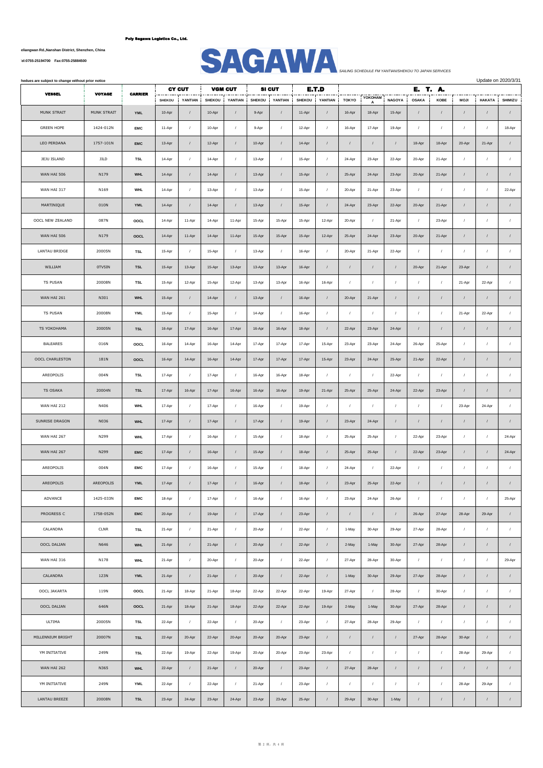**No.1007, Yueliangwan Rd.,Nanshan District, Shenzhen, China**



| hedues are subject to change without prior notice |               |                |               |               |               |                |               |               |               |            |                  |            |               |              |            | Update on 2020/3/31 |            |                  |
|---------------------------------------------------|---------------|----------------|---------------|---------------|---------------|----------------|---------------|---------------|---------------|------------|------------------|------------|---------------|--------------|------------|---------------------|------------|------------------|
| <b>VESSEL</b>                                     | <b>VOYAGE</b> | <b>CARRIER</b> |               | <b>CY CUT</b> |               | <b>VGM CUT</b> |               | <b>SI CUT</b> |               | E.T.D      |                  | YOKOHAM    |               | E. T. A.     |            |                     |            |                  |
|                                                   |               |                | <b>SHEKOU</b> | YANTIAN       | <b>SHEKOU</b> | YANTIAN        | <b>SHEKOU</b> | YANTIAN       | <b>SHEKOU</b> | YANTIAN    | <b>TOKYO</b>     | A          | <b>NAGOYA</b> | <b>OSAKA</b> | KOBE       | <b>MOJI</b>         | HAKATA     | SHIMIZU          |
| MUNK STRAIT                                       | MUNK STRAIT   | <b>YML</b>     | 10-Apr        | $\prime$      | 10-Apr        | $\prime$       | 9-Apr         | $\sqrt{ }$    | 11-Apr        | $\sqrt{ }$ | 16-Apr           | 18-Apr     | 15-Apr        |              | $\prime$   | $\prime$            | $\prime$   | $\sqrt{2}$       |
| <b>GREEN HOPE</b>                                 | 1424-012N     | <b>EMC</b>     | 11-Apr        | $\prime$      | 10-Apr        | $\prime$       | 9-Apr         | $\prime$      | 12-Apr        | $\sqrt{ }$ | 16-Apr           | 17-Apr     | 19-Apr        | $\sqrt{ }$   | $\prime$   | $\prime$            | $\prime$   | 18-Apr           |
| LEO PERDANA                                       | 1757-101N     | <b>EMC</b>     | 13-Apr        | $\sqrt{2}$    | 12-Apr        | $\prime$       | 10-Apr        | $\sqrt{ }$    | 14-Apr        | $\prime$   | $\prime$         | $\prime$   | $\prime$      | 18-Apr       | 18-Apr     | 20-Apr              | 21-Apr     | $\sqrt{ }$       |
| JEJU ISLAND                                       | JILD          | <b>TSL</b>     | 14-Apr        | $\sqrt{2}$    | 14-Apr        | $\prime$       | 13-Apr        | $\sqrt{2}$    | 15-Apr        | $\prime$   | 24-Apr           | 23-Apr     | 22-Apr        | 20-Apr       | 21-Apr     | $\sqrt{ }$          | $\prime$   | $\sqrt{2}$       |
| WAN HAI 506                                       | N179          | <b>WHL</b>     | 14-Apr        | $\prime$      | 14-Apr        | $\sqrt{ }$     | 13-Apr        | $\cal I$      | 15-Apr        | $\sqrt{ }$ | 25-Apr           | 24-Apr     | 23-Apr        | 20-Apr       | 21-Apr     | $\prime$            | $\sqrt{ }$ | $\prime$         |
| WAN HAI 317                                       | N169          | WHL            | 14-Apr        | $\prime$      | 13-Apr        | $\prime$       | 13-Apr        | $\sqrt{ }$    | 15-Apr        | $\sqrt{ }$ | 20-Apr           | 21-Apr     | 23-Apr        | $\sqrt{ }$   | $\prime$   | $\prime$            | $\prime$   | 22-Apr           |
| MARTINIQUE                                        | 010N          | YML            | 14-Apr        | $\prime$      | 14-Apr        | $\prime$       | 13-Apr        | $\prime$      | 15-Apr        | $\sqrt{2}$ | 24-Apr           | 23-Apr     | 22-Apr        | 20-Apr       | 21-Apr     | $\prime$            | $\prime$   | $\sqrt{2}$       |
| OOCL NEW ZEALAND                                  | 087N          | OOCL           | 14-Apr        | 11-Apr        | 14-Apr        | 11-Apr         | 15-Apr        | 15-Apr        | 15-Apr        | 12-Apr     | 20-Apr           | $\sqrt{2}$ | 21-Apr        | $\sqrt{ }$   | 23-Apr     | $\sqrt{ }$          | $\prime$   | $\sqrt{ }$       |
| WAN HAI 506                                       | N179          | OOCL           | 14-Apr        | 11-Apr        | 14-Apr        | 11-Apr         | 15-Apr        | 15-Apr        | 15-Apr        | 12-Apr     | 25-Apr           | 24-Apr     | 23-Apr        | 20-Apr       | 21-Apr     | $\prime$            | $\prime$   | $\prime$         |
| LANTAU BRIDGE                                     | 20005N        | <b>TSL</b>     | 15-Apr        | $\sqrt{ }$    | 15-Apr        | $\prime$       | 13-Apr        | $\cal I$      | 16-Apr        | $\sqrt{ }$ | 20-Apr           | 21-Apr     | 22-Apr        | $\sqrt{ }$   | $\prime$   | $\prime$            | $\prime$   | $\prime$         |
| WILLIAM                                           | 0TV5IN        | <b>TSL</b>     | 15-Apr        | 13-Apr        | 15-Apr        | 13-Apr         | 13-Apr        | 13-Apr        | 16-Apr        | $\prime$   | $\sqrt{2}$       |            | $\sqrt{ }$    | 20-Apr       | 21-Apr     | 23-Apr              | $\prime$   | $\sqrt{2}$       |
| <b>TS PUSAN</b>                                   | 20008N        | <b>TSL</b>     | 15-Apr        | 12-Apr        | 15-Apr        | 12-Apr         | 13-Apr        | 13-Apr        | 16-Apr        | 16-Apr     | $\prime$         | $\sqrt{ }$ | $\prime$      | $\sqrt{ }$   | $\prime$   | 21-Apr              | 22-Apr     | $\sqrt{2}$       |
| WAN HAI 261                                       | N301          | <b>WHL</b>     | 15-Apr        | $\sqrt{2}$    | 14-Apr        | $\prime$       | 13-Apr        | $\sqrt{2}$    | 16-Apr        | $\prime$   | 20-Apr           | 21-Apr     | $\prime$      | $\prime$     | $\prime$   | $\prime$            | $\prime$   | $\sqrt{2}$       |
| <b>TS PUSAN</b>                                   | 20008N        | YML            | 15-Apr        | $\prime$      | 15-Apr        | $\prime$       | 14-Apr        | $\sqrt{ }$    | 16-Apr        | $\sqrt{ }$ | $\prime$         | $\prime$   | $\sqrt{ }$    | $\prime$     | $\prime$   | 21-Apr              | 22-Apr     | $\prime$         |
| TS YOKOHAMA                                       | 20005N        | <b>TSL</b>     | 16-Apr        | 17-Apr        | 16-Apr        | 17-Apr         | 16-Apr        | 16-Apr        | 18-Apr        | $\sqrt{ }$ | 22-Apr           | 23-Apr     | 24-Apr        | $\sqrt{ }$   | $\sqrt{ }$ | $\prime$            | $\prime$   | $\sqrt{2}$       |
| BALEARES                                          | 016N          | OOCL           | 16-Apr        | 14-Apr        | 16-Apr        | 14-Apr         | 17-Apr        | 17-Apr        | 17-Apr        | 15-Apr     | 23-Apr           | 23-Apr     | 24-Apr        | 26-Apr       | 25-Apr     | $\prime$            | $\prime$   | $\prime$         |
| OOCL CHARLESTON                                   | 181N          | OOCL           | 16-Apr        | 14-Apr        | 16-Apr        | 14-Apr         | 17-Apr        | 17-Apr        | 17-Apr        | 15-Apr     | 23-Apr           | 24-Apr     | 25-Apr        | 21-Apr       | 22-Apr     | $\prime$            | $\prime$   | $\sqrt{2}$       |
| AREOPOLIS                                         | 004N          | <b>TSL</b>     | 17-Apr        | $\sqrt{ }$    | 17-Apr        | $\prime$       | 16-Apr        | 16-Apr        | 18-Apr        | $\sqrt{ }$ | $\sqrt{2}$       | $\prime$   | 22-Apr        | $\prime$     | $\sqrt{2}$ | $\prime$            | $\prime$   | $\sqrt{ }$       |
| TS OSAKA                                          | 20004N        | <b>TSL</b>     | 17-Apr        | 16-Apr        | 17-Apr        | 16-Apr         | 16-Apr        | 16-Apr        | 19-Apr        | 21-Apr     | 25-Apr           | 25-Apr     | 24-Apr        | 22-Apr       | 23-Apr     | $\prime$            | $\prime$   | $\sqrt{2}$       |
| WAN HAI 212                                       | N406          | <b>WHL</b>     | 17-Apr        | $\prime$      | 17-Apr        | $\prime$       | 16-Apr        | $\sqrt{ }$    | 19-Apr        | $\prime$   | $\sqrt{ }$       | $\prime$   | $\sqrt{ }$    | $\sqrt{ }$   | $\prime$   | 23-Apr              | 24-Apr     | $\sqrt{2}$       |
| SUNRISE DRAGON                                    | N036          | <b>WHL</b>     | 17-Apr        | $\prime$      | 17-Apr        | $\prime$       | 17-Apr        | $\prime$      | 19-Apr        | $\prime$   | 23-Apr           | 24-Apr     | $\sqrt{2}$    | $\prime$     | $\prime$   | $\sqrt{ }$          | $\prime$   | $\boldsymbol{I}$ |
| WAN HAI 267                                       | N299          | <b>WHL</b>     | 17-Apr        | $\sqrt{2}$    | 16-Apr        | $\prime$       | 15-Apr        | $\sqrt{2}$    | 18-Apr        | $\sqrt{ }$ | 25-Apr           | 25-Apr     | $\sqrt{ }$    | 22-Apr       | 23-Apr     | $\sqrt{ }$          | $\prime$   | 24-Apr           |
| WAN HAI 267                                       | N299          | <b>EMC</b>     | 17-Apr        | $\sqrt{2}$    | 16-Apr        | $\prime$       | 15-Apr        | $\sqrt{ }$    | 18-Apr        | $\sqrt{ }$ | 25-Apr           | 25-Apr     | $\prime$      | 22-Apr       | 23-Apr     | $\prime$            | $\prime$   | 24-Apr           |
| AREOPOLIS                                         | 004N          | EMC            | 17-Apr        | $\prime$      | 16-Apr        | $\prime$       | 15-Apr        | $\sqrt{2}$    | 18-Apr        | $\prime$   | 24-Apr           | $\sqrt{2}$ | 22-Apr        | $\prime$     | $\prime$   | $\prime$            | $\prime$   | $\sqrt{2}$       |
| AREOPOLIS                                         | AREOPOLIS     | <b>YML</b>     | 17-Apr        | $\prime$      | 17-Apr        |                | 16-Apr        | $\sqrt{ }$    | 18-Apr        |            | 23-Apr           | 25-Apr     | 22-Apr        |              |            | $\prime$            |            |                  |
| ADVANCE                                           | 1425-033N     | <b>EMC</b>     | 18-Apr        | $\sqrt{2}$    | 17-Apr        | $\sqrt{ }$     | 16-Apr        | $\prime$      | 16-Apr        | $\sqrt{ }$ | 23-Apr           | 24-Apr     | 26-Apr        | $\sqrt{ }$   | $\sqrt{ }$ | $\prime$            | $\sqrt{ }$ | 25-Apr           |
| PROGRESS C                                        | 1758-052N     | <b>EMC</b>     | 20-Apr        | $\prime$      | 19-Apr        | $\prime$       | 17-Apr        | $\cal I$      | 23-Apr        | $\sqrt{ }$ | $\boldsymbol{I}$ | $\sqrt{2}$ | $\cal I$      | 26-Apr       | 27-Apr     | 28-Apr              | 29-Apr     | $\boldsymbol{I}$ |
| CALANDRA                                          | CLNR          | TSL            | 21-Apr        | $\sqrt{2}$    | 21-Apr        | $\sqrt{ }$     | 20-Apr        | $\prime$      | 22-Apr        | $\sqrt{ }$ | 1-May            | 30-Apr     | 29-Apr        | 27-Apr       | 28-Apr     | $\sqrt{ }$          | $\sqrt{ }$ | $\sqrt{2}$       |
| OOCL DALIAN                                       | N646          | <b>WHL</b>     | 21-Apr        | $\prime$      | 21-Apr        | $\prime$       | 20-Apr        | $\sqrt{ }$    | 22-Apr        | $\sqrt{ }$ | 2-May            | 1-May      | 30-Apr        | 27-Apr       | 28-Apr     | $\sqrt{2}$          | $\prime$   | $\sqrt{2}$       |
| WAN HAI 316                                       | N178          | <b>WHL</b>     | 21-Apr        | $\prime$      | 20-Apr        | $\sqrt{ }$     | 20-Apr        | $\prime$      | 22-Apr        | $\sqrt{ }$ | 27-Apr           | 28-Apr     | 30-Apr        | $\sqrt{ }$   | $\sqrt{2}$ | $\cal I$            | $\sqrt{ }$ | 29-Apr           |
| CALANDRA                                          | 123N          | <b>YML</b>     | 21-Apr        | $\sqrt{2}$    | 21-Apr        | $\prime$       | 20-Apr        | $\sqrt{ }$    | 22-Apr        | $\sqrt{ }$ | 1-May            | 30-Apr     | 29-Apr        | 27-Apr       | 28-Apr     | $\prime$            | $\prime$   | $\sqrt{ }$       |
| OOCL JAKARTA                                      | 119N          | OOCL           | 21-Apr        | 18-Apr        | 21-Apr        | 18-Apr         | 22-Apr        | 22-Apr        | 22-Apr        | 19-Apr     | 27-Apr           | $\sqrt{2}$ | 28-Apr        | $\sqrt{2}$   | 30-Apr     | $\sqrt{ }$          | $\prime$   | $\sqrt{2}$       |
| OOCL DALIAN                                       | 646N          | OOCL           | 21-Apr        | 18-Apr        | 21-Apr        | 18-Apr         | 22-Apr        | 22-Apr        | 22-Apr        | 19-Apr     | 2-May            | 1-May      | 30-Apr        | 27-Apr       | 28-Apr     | $\prime$            | $\sqrt{ }$ | $\sqrt{2}$       |
| ULTIMA                                            | 20005N        | TSL            | 22-Apr        | $\prime$      | 22-Apr        | $\prime$       | 20-Apr        | $\sqrt{ }$    | 23-Apr        | $\prime$   | 27-Apr           | 28-Apr     | 29-Apr        | $\sqrt{ }$   | $\prime$   | $\prime$            | $\prime$   | $\sqrt{ }$       |
| MILLENNIUM BRIGHT                                 | 20007N        | <b>TSL</b>     | 22-Apr        | 20-Apr        | 22-Apr        | 20-Apr         | 20-Apr        | 20-Apr        | 23-Apr        | $\sqrt{2}$ | $\prime$         | $\sqrt{2}$ | $\prime$      | 27-Apr       | 28-Apr     | 30-Apr              | $\prime$   | $\prime$         |
| YM INITIATIVE                                     | 249N          | TSL            | 22-Apr        | 19-Apr        | 22-Apr        | 19-Apr         | 20-Apr        | 20-Apr        | 23-Apr        | 23-Apr     | $\sqrt{ }$       | $\prime$   | $\sqrt{2}$    | $\sqrt{ }$   | $\sqrt{2}$ | 28-Apr              | 29-Apr     | $\sqrt{2}$       |
| WAN HAI 262                                       | N365          | <b>WHL</b>     | 22-Apr        | $\prime$      | 21-Apr        | $\sqrt{ }$     | 20-Apr        | $\cal I$      | 23-Apr        | $\sqrt{ }$ | 27-Apr           | 28-Apr     | $\sqrt{ }$    | $\sqrt{ }$   | $\sqrt{ }$ | $\sqrt{ }$          | $\sqrt{ }$ | $\boldsymbol{I}$ |
| YM INITIATIVE                                     | 249N          | YML            | 22-Apr        | $\sqrt{2}$    | 22-Apr        | $\sqrt{ }$     | 21-Apr        | $\cal I$      | 23-Apr        | $\sqrt{ }$ | $\sqrt{2}$       | $\sqrt{2}$ | $\sqrt{ }$    | $\sqrt{ }$   | $\sqrt{ }$ | 28-Apr              | 29-Apr     | $\prime$         |
| LANTAU BREEZE                                     | 20008N        | <b>TSL</b>     | 23-Apr        | 24-Apr        | 23-Apr        | 24-Apr         | 23-Apr        | 23-Apr        | 25-Apr        | $\sqrt{ }$ | 29-Apr           | 30-Apr     | 1-May         | $\prime$     | $\sqrt{ }$ | $\prime$            | $\prime$   | $\mathcal I$     |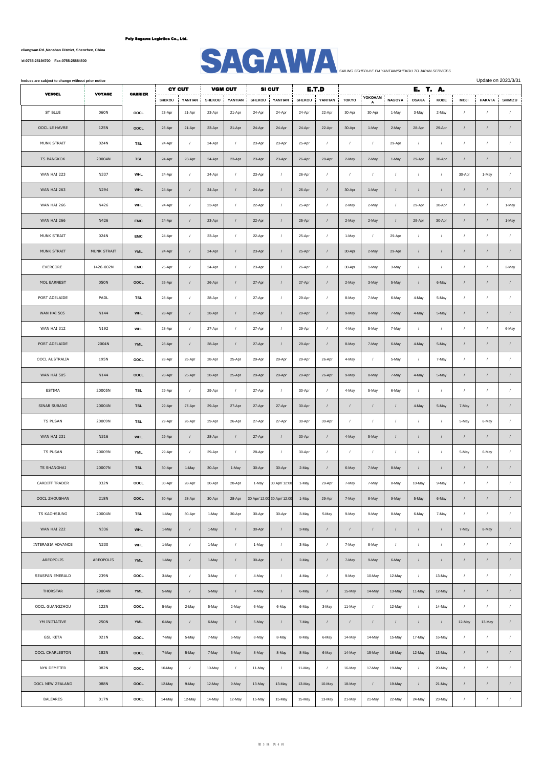**No.1007, Yueliangwan Rd.,Nanshan District, Shenzhen, China**



| hedues are subject to change without prior notice |               |                |                  |                   |                         |                   |                         |                             |                         |                   |                 |                  |                        | Update on 2020/3/31   |               |                         |                    |                              |
|---------------------------------------------------|---------------|----------------|------------------|-------------------|-------------------------|-------------------|-------------------------|-----------------------------|-------------------------|-------------------|-----------------|------------------|------------------------|-----------------------|---------------|-------------------------|--------------------|------------------------------|
| <b>VESSEL</b>                                     | <b>VOYAGE</b> | <b>CARRIER</b> |                  | <b>CY CUT</b>     |                         | <b>VGM CUT</b>    |                         | <b>SI CUT</b>               |                         | E.T.D             |                 | YOKOHAM          |                        | E. T. A.              |               |                         |                    |                              |
| ST BLUE                                           | 060N          | OOCL           | SHEKOU<br>23-Apr | YANTIAN<br>21-Apr | <b>SHEKOU</b><br>23-Apr | YANTIAN<br>21-Apr | <b>SHEKOU</b><br>24-Apr | YANTIAN<br>24-Apr           | <b>SHEKOU</b><br>24-Apr | YANTIAN<br>22-Apr | TOKYO<br>30-Apr | Δ<br>30-Apr      | <b>NAGOYA</b><br>1-May | <b>OSAKA</b><br>3-May | KOBE<br>2-May | <b>MOJI</b><br>$\prime$ | HAKATA<br>$\prime$ | <b>SHIMIZU</b><br>$\sqrt{ }$ |
|                                                   |               |                |                  |                   |                         |                   |                         |                             |                         |                   |                 |                  |                        |                       |               |                         |                    |                              |
| OOCL LE HAVRE                                     | 125N          | OOCL           | 23-Apr           | 21-Apr            | 23-Apr                  | 21-Apr            | 24-Apr                  | 24-Apr                      | 24-Apr                  | 22-Apr            | 30-Apr          | 1-May            | 2-May                  | 28-Apr                | 29-Apr        | $\prime$                | $\prime$           | $\sqrt{ }$                   |
| MUNK STRAIT                                       | 024N          | TSL            | 24-Apr           | $\prime$          | 24-Apr                  | $\prime$          | 23-Apr                  | 23-Apr                      | 25-Apr                  | $\prime$          | $\prime$        | $\prime$         | 29-Apr                 | $\prime$              | $\prime$      | $\prime$                | $\prime$           | $\sqrt{ }$                   |
| <b>TS BANGKOK</b>                                 | 20004N        | <b>TSL</b>     | 24-Apr           | 23-Apr            | 24-Apr                  | 23-Apr            | 23-Apr                  | 23-Apr                      | 26-Apr                  | 28-Apr            | 2-May           | 2-May            | 1-May                  | 29-Apr                | 30-Apr        | $\prime$                | $\prime$           | $\cal I$                     |
| WAN HAI 223                                       | N337          | <b>WHL</b>     | 24-Apr           | $\sqrt{2}$        | 24-Apr                  | $\prime$          | 23-Apr                  | $\sqrt{2}$                  | 26-Apr                  | $\sqrt{ }$        | $\sqrt{ }$      | $\sqrt{2}$       | $\overline{1}$         | $\sqrt{2}$            | $\sqrt{2}$    | 30-Apr                  | 1-May              | $\prime$                     |
| WAN HAI 263                                       | N294          | <b>WHL</b>     | 24-Apr           | $\prime$          | 24-Apr                  | $\prime$          | 24-Apr                  | $\prime$                    | 26-Apr                  | $\prime$          | 30-Apr          | 1-May            | $\prime$               | $\prime$              | $\prime$      | $\prime$                | $\prime$           | $\sqrt{ }$                   |
| WAN HAI 266                                       | N426          | <b>WHL</b>     | 24-Apr           | $\prime$          | 23-Apr                  | $\prime$          | 22-Apr                  | $\sqrt{ }$                  | 25-Apr                  | $\prime$          | 2-May           | 2-May            | $\sqrt{ }$             | 29-Apr                | 30-Apr        | $\prime$                | $\prime$           | 1-May                        |
| WAN HAI 266                                       | N426          | <b>EMC</b>     | 24-Apr           | $\sqrt{2}$        | 23-Apr                  | $\prime$          | 22-Apr                  | $\sqrt{ }$                  | 25-Apr                  | $\prime$          | 2-May           | 2-May            | $\prime$               | 29-Apr                | 30-Apr        | $\prime$                | $\prime$           | 1-May                        |
| MUNK STRAIT                                       | 024N          | <b>EMC</b>     | 24-Apr           | $\prime$          | 23-Apr                  | $\sqrt{ }$        | 22-Apr                  | $\prime$                    | 25-Apr                  | $\sqrt{ }$        | 1-May           | $\sqrt{2}$       | 29-Apr                 | $\sqrt{ }$            | $\sqrt{2}$    | $\prime$                |                    | $\prime$                     |
| MUNK STRAIT                                       | MUNK STRAIT   | <b>YML</b>     | 24-Apr           | $\prime$          | 24-Apr                  | $\prime$          | 23-Apr                  | $\prime$                    | 25-Apr                  | $\prime$          | 30-Apr          | 2-May            | 29-Apr                 | $\sqrt{2}$            | $\prime$      | $\prime$                | $\prime$           | $\sqrt{2}$                   |
| EVERCORE                                          | 1426-002N     | EMC            | 25-Apr           | $\sqrt{2}$        | 24-Apr                  | $\prime$          | 23-Apr                  | $\sqrt{ }$                  | 26-Apr                  | $\sqrt{ }$        | 30-Apr          | 1-May            | 3-May                  | $\sqrt{ }$            | $\prime$      | $\prime$                | $\prime$           | 2-May                        |
| MOL EARNEST                                       | 050N          | OOCL           | 26-Apr           | $\sqrt{2}$        | 26-Apr                  | $\prime$          | 27-Apr                  | $\sqrt{2}$                  | 27-Apr                  | $\sqrt{ }$        | 2-May           | 3-May            | 5-May                  | $\sqrt{2}$            | 6-May         |                         | $\prime$           | $\sqrt{ }$                   |
| PORT ADELAIDE                                     | PADL          | <b>TSL</b>     | 28-Apr           | $\sqrt{2}$        | 28-Apr                  | $\prime$          | 27-Apr                  | $\sqrt{2}$                  | 29-Apr                  | $\sqrt{ }$        | 8-May           | 7-May            | 6-May                  | 4-May                 | 5-May         | $\prime$                | $\prime$           | $\sqrt{2}$                   |
| WAN HAI 505                                       | N144          | <b>WHL</b>     | 28-Apr           | $\prime$          | 28-Apr                  | $\prime$          | 27-Apr                  | $\sqrt{ }$                  | 29-Apr                  | $\prime$          | 9-May           | 8-May            | 7-May                  | 4-May                 | 5-May         | $\prime$                | $\prime$           | $\sqrt{ }$                   |
| WAN HAI 312                                       | N192          | <b>WHL</b>     | 28-Apr           | $\sqrt{2}$        | 27-Apr                  | $\prime$          | 27-Apr                  | $\sqrt{ }$                  | 29-Apr                  | $\sqrt{ }$        | 4-May           | 5-May            | 7-May                  | $\sqrt{2}$            | $\prime$      | $\sqrt{ }$              | $\prime$           | 6-May                        |
| PORT ADELAIDE                                     | 2004N         | <b>YML</b>     | 28-Apr           | $\sqrt{2}$        | 28-Apr                  | $\prime$          | 27-Apr                  | $\sqrt{2}$                  | 29-Apr                  | $\sqrt{ }$        | 8-May           | 7-May            | 6-May                  | 4-May                 | 5-May         | $\prime$                | $\prime$           | $\sqrt{2}$                   |
| OOCL AUSTRALIA                                    | 195N          | OOCL           | 28-Apr           | 25-Apr            | 28-Apr                  | 25-Apr            | 29-Apr                  | 29-Apr                      | 29-Apr                  | 26-Apr            | 4-May           | $\prime$         | 5-May                  | $\prime$              | 7-May         | $\prime$                | $\prime$           | $\sqrt{2}$                   |
| WAN HAI 505                                       | N144          | OOCL           | 28-Apr           | 25-Apr            | 28-Apr                  | 25-Apr            | 29-Apr                  | 29-Apr                      | 29-Apr                  | 26-Apr            | 9-May           | 8-May            | 7-May                  | 4-May                 | 5-May         | $\prime$                | 1                  | $\sqrt{ }$                   |
| ESTIMA                                            | 20005N        | <b>TSL</b>     | 29-Apr           | $\prime$          | 29-Apr                  | $\prime$          | 27-Apr                  | $\sqrt{ }$                  | 30-Apr                  |                   | 4-May           | 5-May            | 6-May                  | $\prime$              | $\prime$      | $\prime$                |                    | $\sqrt{2}$                   |
| SINAR SUBANG                                      | 20004N        | <b>TSL</b>     | 29-Apr           | 27-Apr            | 29-Apr                  | 27-Apr            | 27-Apr                  | 27-Apr                      | 30-Apr                  | $\prime$          | $\sqrt{ }$      | $\sqrt{ }$       | $\prime$               | 4-May                 | 5-May         | 7-May                   | $\prime$           | $\sqrt{ }$                   |
| <b>TS PUSAN</b>                                   | 20009N        | TSL            | 29-Apr           | 26-Apr            | 29-Apr                  | 26-Apr            | 27-Apr                  | 27-Apr                      | 30-Apr                  | 30-Apr            | $\sqrt{ }$      | $\sqrt{ }$       | $\cal I$               | $\prime$              | $\sqrt{2}$    | 5-May                   | 6-May              | $\boldsymbol{I}$             |
| WAN HAI 231                                       | N316          | <b>WHL</b>     | 29-Apr           | $\sqrt{2}$        | 28-Apr                  | $\prime$          | 27-Apr                  | $\sqrt{2}$                  | 30-Apr                  | $\prime$          | 4-May           | 5-May            | $\prime$               | $\sqrt{2}$            |               | $\prime$                | $\prime$           | $\sqrt{2}$                   |
| TS PUSAN                                          | 20009N        | <b>YML</b>     | 29-Apr           | $\prime$          | 29-Apr                  | $\prime$          | 28-Apr                  | $\sqrt{ }$                  | 30-Apr                  |                   | $\sqrt{ }$      | $\sqrt{ }$       | $\overline{1}$         | $\overline{1}$        | $\prime$      | 5-May                   | 6-May              | $\cal I$                     |
| TS SHANGHAI                                       | 20007N        | <b>TSL</b>     | 30-Apr           | 1-May             | 30-Apr                  | 1-May             | 30-Apr                  | 30-Apr                      | 2-May                   | $\prime$          | 6-May           | 7-May            | 8-May                  | $\prime$              | $\prime$      | $\prime$                | $\prime$           | $\cal I$                     |
| CARDIFF TRADER                                    | 032N          | OOCL           | 30-Apr           | 28-Apr            | 30-Apr                  | 28-Apr            | 1-May                   | 30 Apr/ 12:00               | 1-May                   | 29-Apr            | 7-May           | 7-May            | 8-May                  | 10-May                | 9-May         |                         | $\prime$           |                              |
| OOCL ZHOUSHAN                                     | 218N          | OOCL           | 30-Apr           | 28-Apr            | 30-Apr                  | 28-Apr            |                         | 30 Apr/ 12:00 30 Apr/ 12:00 | 1-May                   | 29-Apr            | 7-May           | 8-May            | 9-May                  | 5-May                 | 6-May         | $\prime$                | $\prime$           | $\sqrt{ }$                   |
| TS KAOHSIUNG                                      | 20004N        | TSL            | 1-May            | 30-Apr            | 1-May                   | 30-Apr            | 30-Apr                  | 30-Apr                      | 3-May                   | 5-May             | 9-May           | 9-May            | 8-May                  | 6-May                 | 7-May         | $\prime$                | $\prime$           | $\prime$                     |
| WAN HAI 222                                       | N336          | <b>WHL</b>     | 1-May            | $\sqrt{2}$        | 1-May                   | $\prime$          | 30-Apr                  | $\prime$                    | 3-May                   | $\prime$          | $\sqrt{2}$      | $\sqrt{2}$       | $\sqrt{ }$             | $\sqrt{2}$            | $\prime$      | 7-May                   | 8-May              | $\sqrt{ }$                   |
| INTERASIA ADVANCE                                 | N230          | <b>WHL</b>     | 1-May            | $\sqrt{2}$        | 1-May                   | $\sqrt{ }$        | 1-May                   | $\sqrt{ }$                  | 3-May                   | $\sqrt{2}$        | 7-May           | 8-May            | $\sqrt{ }$             | $\sqrt{ }$            | $\prime$      | $\sqrt{ }$              | $\sqrt{ }$         | $\sqrt{2}$                   |
| AREOPOLIS                                         | AREOPOLIS     | <b>YML</b>     | 1-May            | $\sqrt{2}$        | 1-May                   | $\prime$          | 30-Apr                  | $\sqrt{2}$                  | 2-May                   | $\sqrt{ }$        | 7-May           | 9-May            | 6-May                  | $\prime$              | $\prime$      | $\prime$                | $\prime$           | $\sqrt{2}$                   |
| SEASPAN EMERALD                                   | 239N          | OOCL           | 3-May            | $\prime$          | 3-May                   | $\sqrt{ }$        | 4-May                   | $\prime$                    | 4-May                   | $\sqrt{2}$        | 9-May           | 10-May           | 12-May                 | $\sqrt{2}$            | 13-May        | $\sqrt{2}$              | $\prime$           | $\prime$                     |
| THORSTAR                                          | 20004N        | YML            | 5-May            | $\sqrt{2}$        | 5-May                   | $\prime$          | 4-May                   | $\prime$                    | 6-May                   | $\sqrt{ }$        | 15-May          | 14-May           | 13-May                 | 11-May                | 12-May        | $\sqrt{2}$              | $\prime$           | $\prime$                     |
| OOCL GUANGZHOU                                    | 122N          |                |                  | 2-May             | 5-May                   |                   |                         |                             | 6-May                   | 3-May             | 11-May          |                  | 12-May                 |                       |               | $\sqrt{ }$              | $\prime$           | $\prime$                     |
|                                                   |               | OOCL           | 5-May            |                   |                         | 2-May             | 6-May                   | 6-May                       |                         |                   |                 | $\sqrt{ }$       |                        | $\sqrt{2}$            | 14-May        |                         |                    |                              |
| YM INITIATIVE                                     | 250N          | <b>YML</b>     | 6-May            | $\prime$          | 6-May                   | $\prime$          | 5-May                   | $\sqrt{2}$                  | 7-May                   | $\prime$          | $\sqrt{ }$      | $\sqrt{ }$       | $\sqrt{ }$             | $\sqrt{2}$            | $\prime$      | 12-May                  | 13-May             | $\sqrt{ }$                   |
| <b>GSL KETA</b>                                   | 021N          | OOCL           | 7-May            | 5-May             | 7-May                   | 5-May             | 8-May                   | 8-May                       | 8-May                   | 6-May             | 14-May          | 14-May           | 15-May                 | 17-May                | 16-May        | $\prime$                | $\prime$           | $\prime$                     |
| OOCL CHARLESTON                                   | 182N          | OOCL           | 7-May            | 5-May             | 7-May                   | 5-May             | 8-May                   | 8-May                       | 8-May                   | 6-May             | 14-May          | 15-May           | 16-May                 | 12-May                | 13-May        | $\prime$                | $\prime$           | $\prime$                     |
| NYK DEMETER                                       | 082N          | OOCL           | 10-May           | $\prime$          | 10-May                  | $\sqrt{ }$        | 11-May                  | $\prime$                    | 11-May                  | $\prime$          | 16-May          | 17-May           | 19-May                 | $\sqrt{2}$            | 20-May        | $\prime$                | $\prime$           | $\sqrt{ }$                   |
| OOCL NEW ZEALAND                                  | 088N          | OOCL           | 12-May           | 9-May             | 12-May                  | 9-May             | 13-May                  | 13-May                      | 13-May                  | 10-May            | 18-May          | $\boldsymbol{I}$ | 19-May                 | $\boldsymbol{I}$      | 21-May        | $\prime$                | $\prime$           | $\boldsymbol{I}$             |
| BALEARES                                          | 017N          | OOCL           | 14-May           | 12-May            | 14-May                  | 12-May            | 15-May                  | 15-May                      | 15-May                  | 13-May            | 21-May          | 21-May           | 22-May                 | 24-May                | 23-May        | $\prime$                | $\sqrt{2}$         | $\boldsymbol{I}$             |